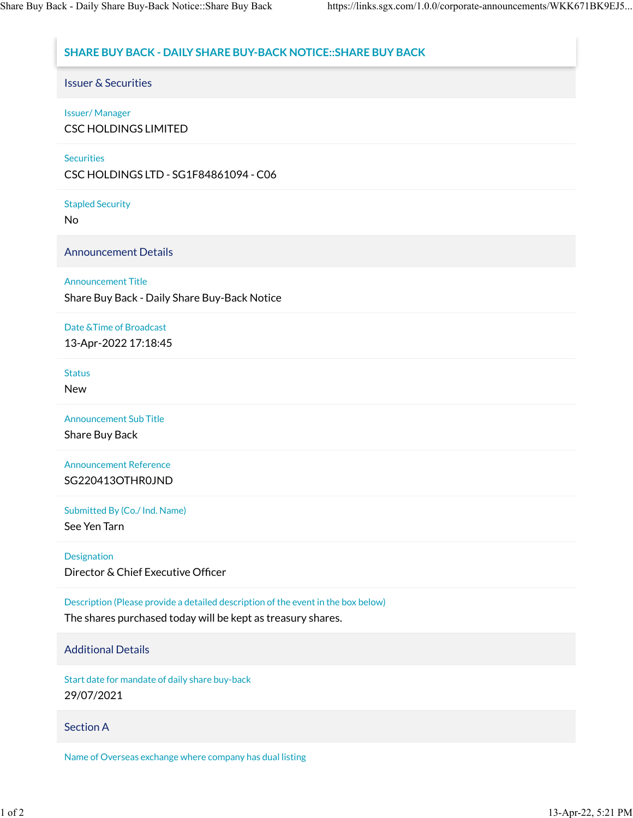# **SHARE BUY BACK - DAILY SHARE BUY-BACK NOTICE::SHARE BUY BACK**

Issuer & Securities

## Issuer/ Manager

CSC HOLDINGS LIMITED

#### **Securities**

CSC HOLDINGS LTD - SG1F84861094 - C06

Stapled Security

No

Announcement Details

## Announcement Title

Share Buy Back - Daily Share Buy-Back Notice

# Date &Time of Broadcast

13-Apr-2022 17:18:45

#### **Status**

New

Announcement Sub Title

Share Buy Back

Announcement Reference SG220413OTHR0JND

Submitted By (Co./ Ind. Name)

See Yen Tarn

#### Designation

Director & Chief Executive Officer

Description (Please provide a detailed description of the event in the box below)

The shares purchased today will be kept as treasury shares.

# Additional Details

Start date for mandate of daily share buy-back 29/07/2021

# Section A

Name of Overseas exchange where company has dual listing